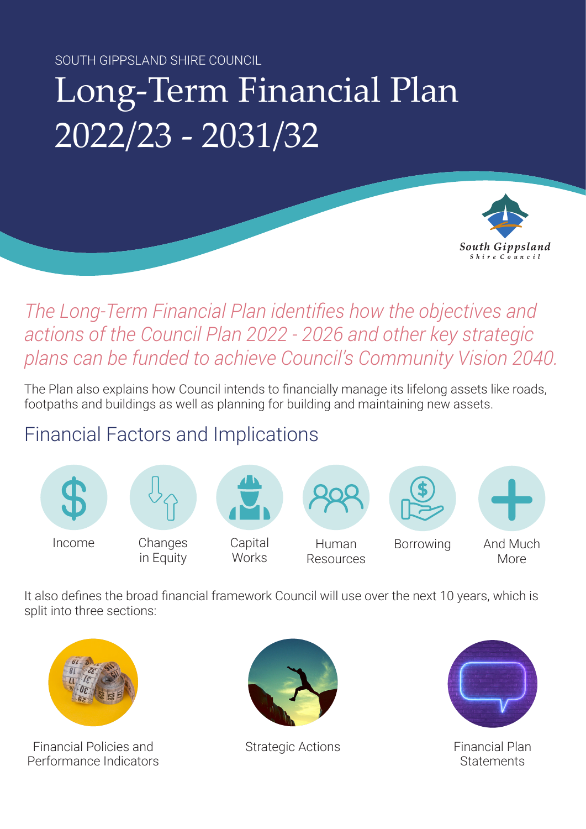SOUTH GIPPSLAND SHIRE COUNCIL

## Long-Term Financial Plan 2022/23 - 2031/32



## *The Long-Term Financial Plan identifies how the objectives and actions of the Council Plan 2022 - 2026 and other key strategic plans can be funded to achieve Council's Community Vision 2040.*

The Plan also explains how Council intends to financially manage its lifelong assets like roads, footpaths and buildings as well as planning for building and maintaining new assets.

## Financial Factors and Implications



It also defines the broad financial framework Council will use over the next 10 years, which is split into three sections:



Financial Policies and Performance Indicators



Strategic Actions Financial Plan



**Statements**